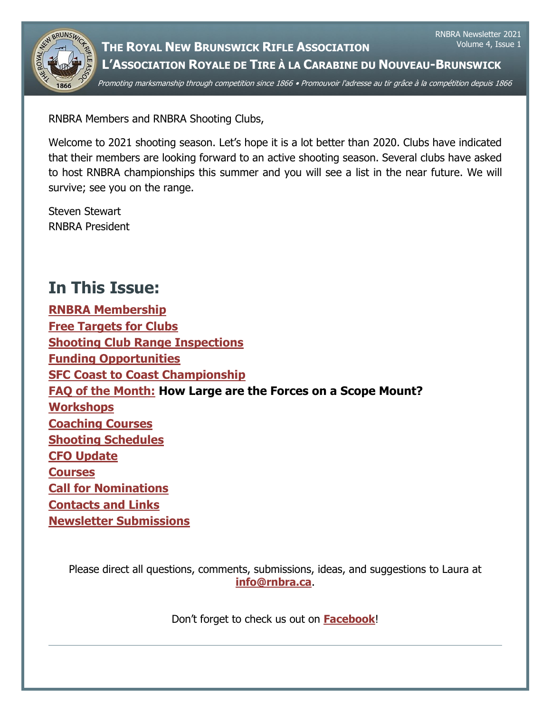

**THE ROYAL NEW BRUNSWICK RIFLE ASSOCIATION L'ASSOCIATION ROYALE DE TIRE À LA CARABINE DU NOUVEAU-BRUNSWICK** Volume 4, Issue 1

RNBRA Newsletter 2021

Promoting marksmanship through competition since 1866 • Promouvoir l'adresse au tir grâce à la compétition depuis 1866

RNBRA Members and RNBRA Shooting Clubs,

Welcome to 2021 shooting season. Let's hope it is a lot better than 2020. Clubs have indicated that their members are looking forward to an active shooting season. Several clubs have asked to host RNBRA championships this summer and you will see a list in the near future. We will survive; see you on the range.

Steven Stewart RNBRA President

# <span id="page-0-0"></span>**In This Issue:**

**[RNBRA Membership](#page-1-0) [Free Targets for Clubs](#page-1-1) [Shooting Club Range Inspections](#page-1-2) [Funding Opportunities](#page-2-0) [SFC Coast to Coast Championship](#page-3-0) [FAQ of the Month:](#page-3-1) How Large are the Forces on a Scope Mount? [Workshops](#page-4-0) [Coaching Courses](#page-5-0) [Shooting Schedules](#page-6-0) [CFO Update](#page-6-1) [Courses](#page-6-2) [Call for Nominations](#page-7-0) [Contacts and Links](#page-7-1) [Newsletter Submissions](#page-8-0)**

Please direct all questions, comments, submissions, ideas, and suggestions to Laura at **[info@rnbra.ca](mailto:info@rnbra.ca?subject=RNBRA%20Newsletter)**.

Don't forget to check us out on **[Facebook](http://www.facebook.com/RNBRA)**!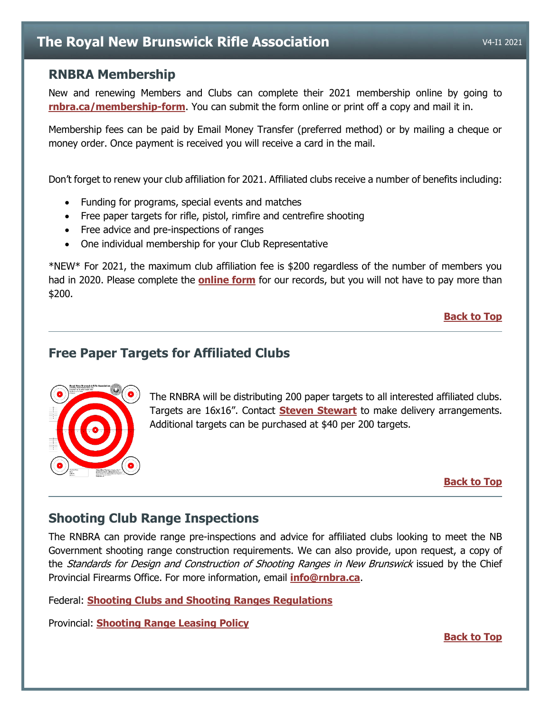## <span id="page-1-0"></span>**RNBRA Membership**

New and renewing Members and Clubs can complete their 2021 membership online by going to **[rnbra.ca/membership-form](http://rnbra.ca/membership-form/)**. You can submit the form online or print off a copy and mail it in.

Membership fees can be paid by Email Money Transfer (preferred method) or by mailing a cheque or money order. Once payment is received you will receive a card in the mail.

Don't forget to renew your club affiliation for 2021. Affiliated clubs receive a number of benefits including:

- Funding for programs, special events and matches
- Free paper targets for rifle, pistol, rimfire and centrefire shooting
- Free advice and pre-inspections of ranges
- One individual membership for your Club Representative

\*NEW\* For 2021, the maximum club affiliation fee is \$200 regardless of the number of members you had in 2020. Please complete the **[online form](https://rnbra.ca/membership-form/club-affiliation-form/)** for our records, but you will not have to pay more than \$200.

## **[Back to Top](#page-0-0)**

## <span id="page-1-1"></span>**Free Paper Targets for Affiliated Clubs**



The RNBRA will be distributing 200 paper targets to all interested affiliated clubs. Targets are 16x16". Contact **[Steven Stewart](mailto:smskew@rogers.com?subject=Paper%20Targets)** to make delivery arrangements. Additional targets can be purchased at \$40 per 200 targets.

#### **[Back to Top](#page-0-0)**

# <span id="page-1-2"></span>**Shooting Club Range Inspections**

The RNBRA can provide range pre-inspections and advice for affiliated clubs looking to meet the NB Government shooting range construction requirements. We can also provide, upon request, a copy of the *Standards for Design and Construction of Shooting Ranges in New Brunswick* issued by the Chief Provincial Firearms Office. For more information, email **[info@rnbra.ca](mailto:info@rnbra.ca?subject=Range%20Inspections)**.

Federal: **[Shooting Clubs and Shooting Ranges Regulations](https://laws-lois.justice.gc.ca/PDF/SOR-98-212.pdf)**

Provincial: **[Shooting Range Leasing Policy](https://www2.gnb.ca/content/dam/gnb/Departments/nr-rn/pdf/en/ForestsCrownLands/2017-12-08_shooting_range_policy.pdf)**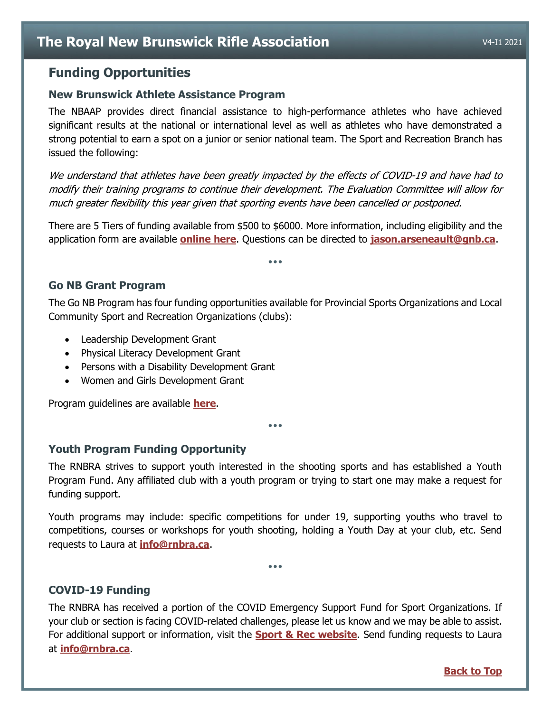# <span id="page-2-0"></span>**Funding Opportunities**

### **New Brunswick Athlete Assistance Program**

The NBAAP provides direct financial assistance to high-performance athletes who have achieved significant results at the national or international level as well as athletes who have demonstrated a strong potential to earn a spot on a junior or senior national team. The Sport and Recreation Branch has issued the following:

We understand that athletes have been greatly impacted by the effects of COVID-19 and have had to modify their training programs to continue their development. The Evaluation Committee will allow for much greater flexibility this year given that sporting events have been cancelled or postponed.

There are 5 Tiers of funding available from \$500 to \$6000. More information, including eligibility and the application form are available **[online here](https://www2.gnb.ca/content/gnb/en/services/services_renderer.201010.Sport-_Athlete_Assistance_Grant.html)**. Questions can be directed to **[jason.arseneault@gnb.ca](mailto:jason.arseneault@gnb.ca)**.

•••

## **Go NB Grant Program**

The Go NB Program has four funding opportunities available for Provincial Sports Organizations and Local Community Sport and Recreation Organizations (clubs):

- Leadership Development Grant
- Physical Literacy Development Grant
- Persons with a Disability Development Grant
- Women and Girls Development Grant

Program guidelines are available **[here](https://www2.gnb.ca/content/dam/gnb/Departments/thc-tpc/pdf/Sport/20162017ExternalGuidelines.pdf)**.

**Youth Program Funding Opportunity**

The RNBRA strives to support youth interested in the shooting sports and has established a Youth Program Fund. Any affiliated club with a youth program or trying to start one may make a request for funding support.

•••

Youth programs may include: specific competitions for under 19, supporting youths who travel to competitions, courses or workshops for youth shooting, holding a Youth Day at your club, etc. Send requests to Laura at **[info@rnbra.ca](mailto:info@rnbra.ca?subject=Youth%20Program%20Funding)**.

•••

## **COVID-19 Funding**

The RNBRA has received a portion of the COVID Emergency Support Fund for Sport Organizations. If your club or section is facing COVID-related challenges, please let us know and we may be able to assist. For additional support or information, visit the **[Sport & Rec website](https://www2.gnb.ca/content/gnb/en/departments/thc/Sport.html)**. Send funding requests to Laura at **[info@rnbra.ca](mailto:info@rnbra.ca?subject=Youth%20Program%20Funding)**.

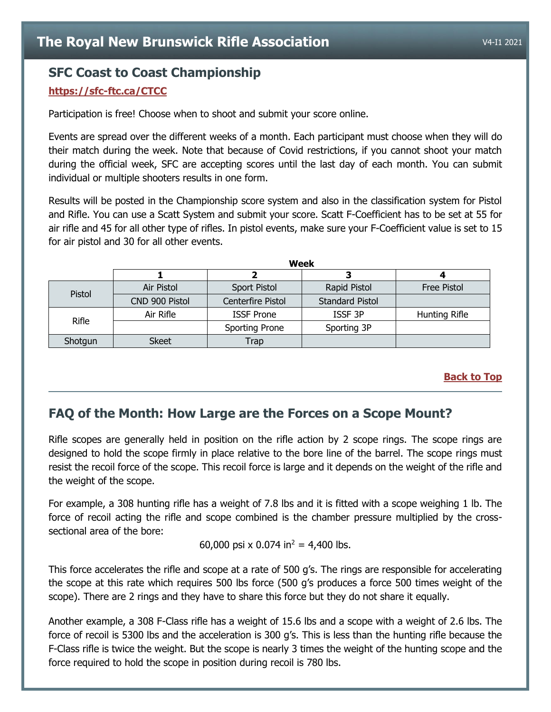## <span id="page-3-0"></span>**SFC Coast to Coast Championship**

#### **<https://sfc-ftc.ca/CTCC>**

Participation is free! Choose when to shoot and submit your score online.

Events are spread over the different weeks of a month. Each participant must choose when they will do their match during the week. Note that because of Covid restrictions, if you cannot shoot your match during the official week, SFC are accepting scores until the last day of each month. You can submit individual or multiple shooters results in one form.

Results will be posted in the Championship score system and also in the classification system for Pistol and Rifle. You can use a Scatt System and submit your score. Scatt F-Coefficient has to be set at 55 for air rifle and 45 for all other type of rifles. In pistol events, make sure your F-Coefficient value is set to 15 for air pistol and 30 for all other events.

**Week**

|              | Week           |                   |                        |               |
|--------------|----------------|-------------------|------------------------|---------------|
|              |                |                   |                        |               |
| Pistol       | Air Pistol     | Sport Pistol      | Rapid Pistol           | Free Pistol   |
|              | CND 900 Pistol | Centerfire Pistol | <b>Standard Pistol</b> |               |
| <b>Rifle</b> | Air Rifle      | <b>ISSF Prone</b> | ISSF <sub>3P</sub>     | Hunting Rifle |
|              |                | Sporting Prone    | Sporting 3P            |               |
| Shotgun      | <b>Skeet</b>   | Trap              |                        |               |

#### **[Back to Top](#page-0-0)**

## <span id="page-3-1"></span>**FAQ of the Month: How Large are the Forces on a Scope Mount?**

Rifle scopes are generally held in position on the rifle action by 2 scope rings. The scope rings are designed to hold the scope firmly in place relative to the bore line of the barrel. The scope rings must resist the recoil force of the scope. This recoil force is large and it depends on the weight of the rifle and the weight of the scope.

For example, a 308 hunting rifle has a weight of 7.8 lbs and it is fitted with a scope weighing 1 lb. The force of recoil acting the rifle and scope combined is the chamber pressure multiplied by the crosssectional area of the bore:

60,000 psi ⅹ 0.074 in<sup>2</sup> = 4,400 lbs.

This force accelerates the rifle and scope at a rate of 500 g's. The rings are responsible for accelerating the scope at this rate which requires 500 lbs force (500 g's produces a force 500 times weight of the scope). There are 2 rings and they have to share this force but they do not share it equally.

Another example, a 308 F-Class rifle has a weight of 15.6 lbs and a scope with a weight of 2.6 lbs. The force of recoil is 5300 lbs and the acceleration is 300 g's. This is less than the hunting rifle because the F-Class rifle is twice the weight. But the scope is nearly 3 times the weight of the hunting scope and the force required to hold the scope in position during recoil is 780 lbs.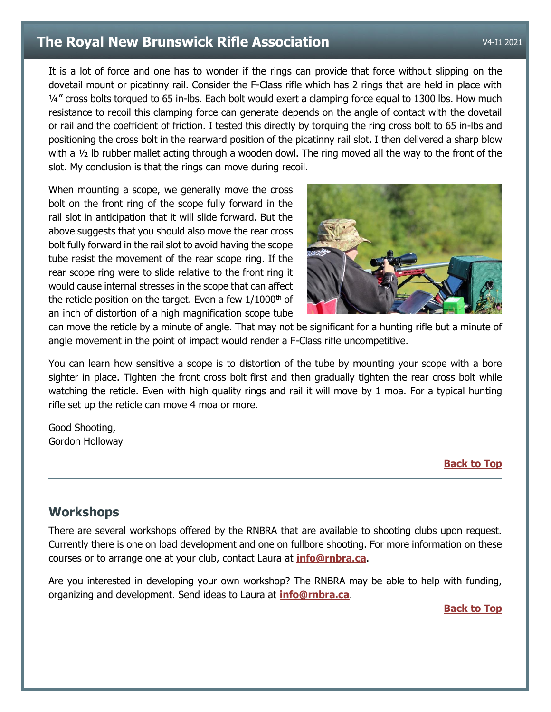It is a lot of force and one has to wonder if the rings can provide that force without slipping on the dovetail mount or picatinny rail. Consider the F-Class rifle which has 2 rings that are held in place with 1/4" cross bolts torqued to 65 in-lbs. Each bolt would exert a clamping force equal to 1300 lbs. How much resistance to recoil this clamping force can generate depends on the angle of contact with the dovetail or rail and the coefficient of friction. I tested this directly by torquing the ring cross bolt to 65 in-lbs and positioning the cross bolt in the rearward position of the picatinny rail slot. I then delivered a sharp blow with a  $\frac{1}{2}$  lb rubber mallet acting through a wooden dowl. The ring moved all the way to the front of the slot. My conclusion is that the rings can move during recoil.

When mounting a scope, we generally move the cross bolt on the front ring of the scope fully forward in the rail slot in anticipation that it will slide forward. But the above suggests that you should also move the rear cross bolt fully forward in the rail slot to avoid having the scope tube resist the movement of the rear scope ring. If the rear scope ring were to slide relative to the front ring it would cause internal stresses in the scope that can affect the reticle position on the target. Even a few  $1/1000<sup>th</sup>$  of an inch of distortion of a high magnification scope tube



can move the reticle by a minute of angle. That may not be significant for a hunting rifle but a minute of angle movement in the point of impact would render a F-Class rifle uncompetitive.

You can learn how sensitive a scope is to distortion of the tube by mounting your scope with a bore sighter in place. Tighten the front cross bolt first and then gradually tighten the rear cross bolt while watching the reticle. Even with high quality rings and rail it will move by 1 moa. For a typical hunting rifle set up the reticle can move 4 moa or more.

Good Shooting, Gordon Holloway

#### **[Back to Top](#page-0-0)**

## <span id="page-4-0"></span>**Workshops**

There are several workshops offered by the RNBRA that are available to shooting clubs upon request. Currently there is one on load development and one on fullbore shooting. For more information on these courses or to arrange one at your club, contact Laura at **[info@rnbra.ca](mailto:info@rnbra.ca?subject=Newsletter-Workshop)**.

Are you interested in developing your own workshop? The RNBRA may be able to help with funding, organizing and development. Send ideas to Laura at **[info@rnbra.ca](mailto:info@rnbra.ca?subject=Newsletter-Workshop)**.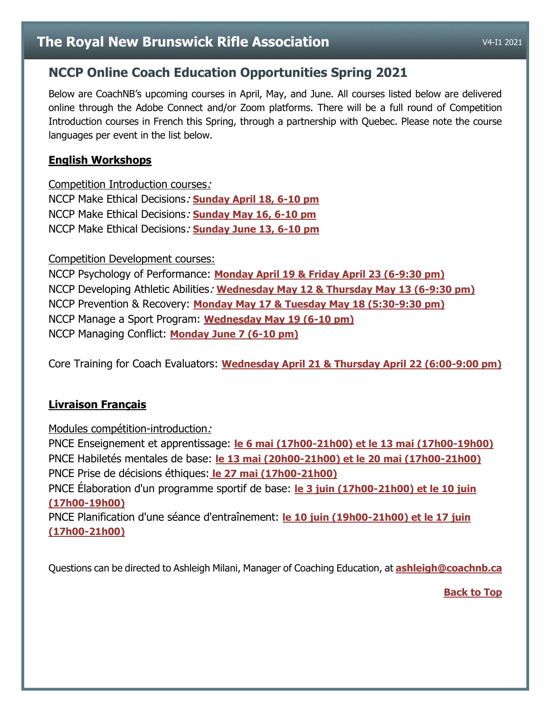# <span id="page-5-0"></span>**NCCP Online Coach Education Opportunities Spring 2021**

Below are CoachNB's upcoming courses in April, May, and June. All courses listed below are delivered online through the Adobe Connect and/or Zoom platforms. There will be a full round of Competition Introduction courses in French this Spring, through a partnership with Quebec. Please note the course languages per event in the list below.

## **English Workshops**

Competition Introduction courses: NCCP Make Ethical Decisions: **[Sunday April 18, 6-10 pm](https://thelocker.coach.ca/event/registration/5595)** NCCP Make Ethical Decisions: **[Sunday May 16, 6-10 pm](https://thelocker.coach.ca/event/registration/5597)** NCCP Make Ethical Decisions: **[Sunday June 13, 6-10 pm](https://thelocker.coach.ca/event/registration/5600)**

Competition Development courses:

NCCP Psychology of Performance: **[Monday April 19 & Friday April 23 \(6-9:30 pm\)](https://thelocker.coach.ca/event/registration/5603)** NCCP Developing Athletic Abilities: **[Wednesday May 12 & Thursday May 13 \(6-9:30 pm\)](https://thelocker.coach.ca/event/registration/5598)** NCCP Prevention & Recovery: **[Monday May 17 & Tuesday May 18 \(5:30-9:30 pm\)](https://thelocker.coach.ca/event/registration/5604)** NCCP Manage a Sport Program: **[Wednesday May 19 \(6-10 pm\)](https://thelocker.coach.ca/event/registration/5599)** NCCP Managing Conflict: **[Monday June 7 \(6-10 pm\)](https://thelocker.coach.ca/event/registration/5606)**

Core Training for Coach Evaluators: **[Wednesday April 21 & Thursday April 22 \(6:00-9:00 pm\)](https://thelocker.coach.ca/event/registration/5596)**

## **Livraison Français**

Modules compétition-introduction:

PNCE Enseignement et apprentissage: **[le 6 mai \(17h00-21h00\) et le 13 mai](https://thelocker.coach.ca/event/registration/5686) (17h00-19h00)** PNCE Habiletés mentales de base: **[le 13 mai \(20h00-21h00\) et le 20 mai \(17h00-21h00\)](https://thelocker.coach.ca/event/registration/5688)** PNCE Prise de décisions éthiques: **[le 27 mai \(17h00-21h00\)](https://thelocker.coach.ca/event/registration/5689)**

PNCE Élaboration d'un programme sportif de base: **[le 3 juin \(17h00-21h00\) et le 10 juin](https://thelocker.coach.ca/event/registration/5691)  [\(17h00-19h00\)](https://thelocker.coach.ca/event/registration/5691)**

PNCE Planification d'une séance d'entraînement: **[le 10 juin \(19h00-21h00\) et le 17 juin](https://thelocker.coach.ca/event/registration/5690)  [\(17h00-21h00\)](https://thelocker.coach.ca/event/registration/5690)**

Questions can be directed to Ashleigh Milani, Manager of Coaching Education, at **[ashleigh@coachnb.ca](mailto:ashleigh@coachnb.ca)**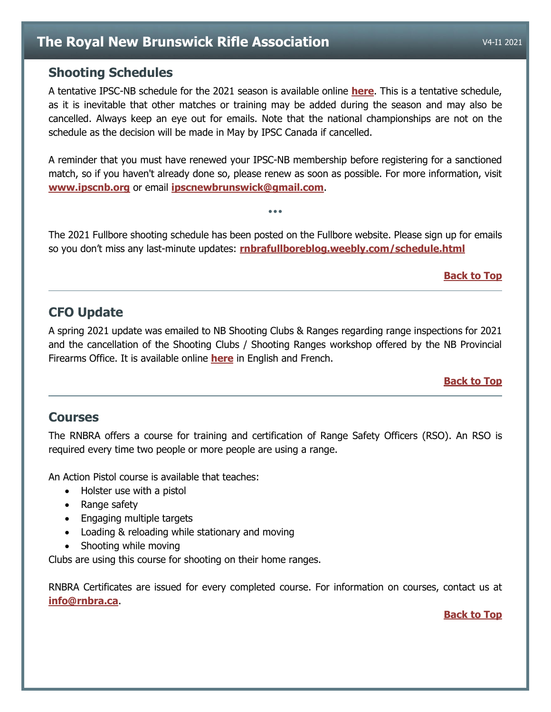## <span id="page-6-0"></span>**Shooting Schedules**

A tentative IPSC-NB schedule for the 2021 season is available online **[here](https://drive.google.com/file/d/14oGfIh0O3hePvYULaRhm1N4liuSBaNTP/view?usp=sharing)**. This is a tentative schedule, as it is inevitable that other matches or training may be added during the season and may also be cancelled. Always keep an eye out for emails. Note that the national championships are not on the schedule as the decision will be made in May by IPSC Canada if cancelled.

A reminder that you must have renewed your IPSC-NB membership before registering for a sanctioned match, so if you haven't already done so, please renew as soon as possible. For more information, visit **[www.ipscnb.org](http://www.ipscnb.org/)** or email **[ipscnewbrunswick@gmail.com](mailto:ipscnewbrunswick@gmail.com)**.

The 2021 Fullbore shooting schedule has been posted on the Fullbore website. Please sign up for emails so you don't miss any last-minute updates: **[rnbrafullboreblog.weebly.com/schedule.html](https://rnbrafullboreblog.weebly.com/schedule.html)**

•••

#### **[Back to Top](#page-0-0)**

# <span id="page-6-1"></span>**CFO Update**

A spring 2021 update was emailed to NB Shooting Clubs & Ranges regarding range inspections for 2021 and the cancellation of the Shooting Clubs / Shooting Ranges workshop offered by the NB Provincial Firearms Office. It is available online **[here](https://drive.google.com/file/d/1cyQNemvnOtt63XkVbfH2UQgxwATQv6lz/view?usp=sharing)** in English and French.

#### **[Back to Top](#page-0-0)**

## <span id="page-6-2"></span>**Courses**

The RNBRA offers a course for training and certification of Range Safety Officers (RSO). An RSO is required every time two people or more people are using a range.

An Action Pistol course is available that teaches:

- Holster use with a pistol
- Range safety
- Engaging multiple targets
- Loading & reloading while stationary and moving
- Shooting while moving

Clubs are using this course for shooting on their home ranges.

RNBRA Certificates are issued for every completed course. For information on courses, contact us at **[info@rnbra.ca](mailto:info@rnbra.ca?subject=RNBRA%20Courses)**.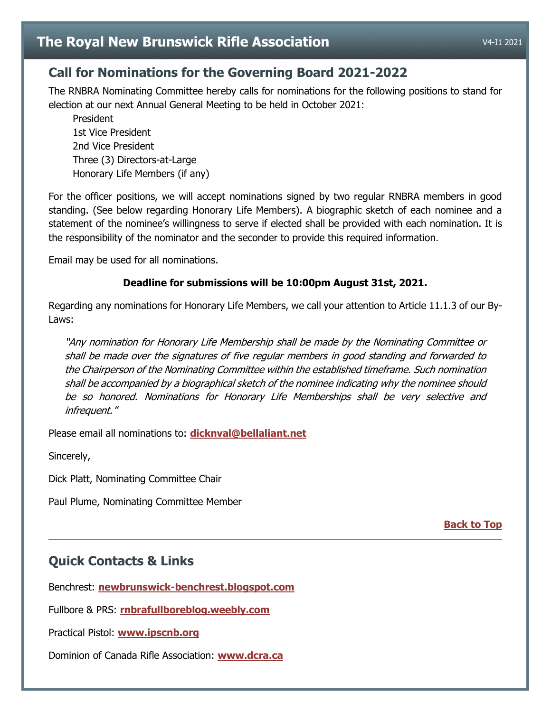# <span id="page-7-0"></span>**Call for Nominations for the Governing Board 2021-2022**

The RNBRA Nominating Committee hereby calls for nominations for the following positions to stand for election at our next Annual General Meeting to be held in October 2021:

President 1st Vice President 2nd Vice President Three (3) Directors-at-Large Honorary Life Members (if any)

For the officer positions, we will accept nominations signed by two regular RNBRA members in good standing. (See below regarding Honorary Life Members). A biographic sketch of each nominee and a statement of the nominee's willingness to serve if elected shall be provided with each nomination. It is the responsibility of the nominator and the seconder to provide this required information.

Email may be used for all nominations.

#### **Deadline for submissions will be 10:00pm August 31st, 2021.**

Regarding any nominations for Honorary Life Members, we call your attention to Article 11.1.3 of our By-Laws:

"Any nomination for Honorary Life Membership shall be made by the Nominating Committee or shall be made over the signatures of five regular members in good standing and forwarded to the Chairperson of the Nominating Committee within the established timeframe. Such nomination shall be accompanied by a biographical sketch of the nominee indicating why the nominee should be so honored. Nominations for Honorary Life Memberships shall be very selective and infrequent."

Please email all nominations to: **[dicknval@bellaliant.net](mailto:dicknval@bellaliant.net?subject=RNBRA%20Nomination)**

Sincerely,

Dick Platt, Nominating Committee Chair

Paul Plume, Nominating Committee Member

**[Back to Top](#page-0-0)**

# <span id="page-7-1"></span>**Quick Contacts & Links**

Benchrest: **[newbrunswick-benchrest.blogspot.com](http://newbrunswick-benchrest.blogspot.com/)**

Fullbore & PRS: **[rnbrafullboreblog.weebly.com](https://rnbrafullboreblog.weebly.com/)**

Practical Pistol: **[www.ipscnb.org](https://www.ipscnb.org/)**

Dominion of Canada Rifle Association: **[www.dcra.ca](https://www.dcra.ca/)**